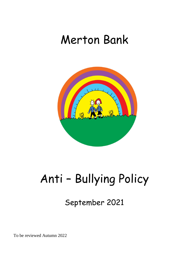## Merton Bank



# Anti – Bullying Policy

September 2021

To be reviewed Autumn 2022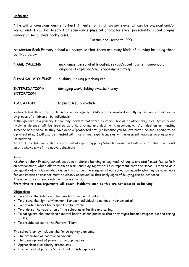#### **Definition**

"The willful conscious desire to hurt, threaten or frighten some-one. It can be physical and/or verbal and it can be directed at some-one's physical characteristics, personality, racial origins, gender or social class background."

Tattum and Herbert 1990

At Merton Bank Primary school we recognise that there are many kinds of bullying including those outlined below:-

| NAME CALLING                      | nicknames, personal attributes, sexual/racial taunts, homophobic<br>language is explored/challenged immediately. |
|-----------------------------------|------------------------------------------------------------------------------------------------------------------|
| PHYSICAL VIOLENCE                 | pushing, kicking punching etc                                                                                    |
| INTIMIDATION/<br><b>EXTORTION</b> | damaging work, taking sweets/money                                                                               |

| <b>ISOLATION</b> | to purposefully exclude |
|------------------|-------------------------|
|------------------|-------------------------|

Research has shown that girls and boys are equally as likely to be involved in bullying. Bullying can either be by groups of children or by individuals.

Although rare in a primary school, any incident motivated by racial, sexual, or other prejudice, typically one involving violence, will be treated as a hate crime and dealt with accordingly. Victimisation or treating someone badly because they have done a 'protected act' (or because you believe that a person is going to do a protected act) will also be treated with the utmost significance as will harassment, aggressive pressure or intimidation.

All staff are familiar with the confidential reporting policy/whistleblowing and will refer to this if an adult on site shows any of the above behaviours*.* 

#### **Aims**

At Merton Bank Primary school, we do not tolerate bullying of any kind. All pupils and staff must feel safe in an environment, which allows them to work and play together. It is important that the school is viewed as a community of which everybody is an integral part. A member of our school community who may be vulnerable for one reason or another must be closely observed so that early signs of bullying can be detected. The importance of early intervention is crucial.

**From time to time arguments will occur: incidents such as this are not classed as bullying.**

#### **Objectives**

- To ensure the safety and happiness of our pupils and staff.
- To ensure the right environment for each individual to achieve their potential.
- To provide a model for responsible behaviour.
- To endorse the reputation of the school as effective and caring.
- To safeguard the emotional/ mental health of our pupils so that they might become responsible and caring adults.
- To provide access to the Pastoral Team.

The school's policy includes the following key elements:

- The promotion of positive behaviour
- The development of preventative approaches
- Appropriate disciplinary procedures
- Involvement of parents/carers and outside agencies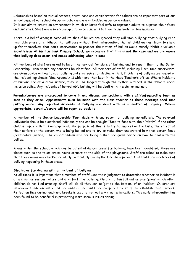Relationships based on mutual respect, trust, care and consideration for others are an important part of our school aims, of our school discipline policy and are embedded in our core values.

It is our aim to create an environment in which children feel safe to approach adults to express their fears and anxieties. Staff are also encouraged to voice concerns to their team leader or line manager.

There is a belief amongst some adults that if bullies are ignored they will stop bullying; that bullying is an inevitable phase of childhood that will pass without their intervention; that all children must learn to stand up for themselves; that adult intervention to protect the victims of bullies would merely inhibit a valuable social lesson. **At Merton Bank Primary School, we recognise that this is not the case and we are aware that bullying does occur and needs addressing when it does.**

All members of staff are asked to be on the look-out for signs of bullying and to report them to the Senior Leadership Team should any concerns be identified. All members of staff, including lunch time supervisors, are given advice on how to spot bullying and strategies for dealing with it. Incidents of bullying are logged on the incident log sheets (See Appendix 1) which are then kept in the Head Teacher's office. Where incidents of bullying are of a racial nature, they will be logged through the system outlined in the school's racial inclusion policy. Any incidents of homophobic bullying will be dealt with in a similar manner.

**Parents/carers are encouraged to come in and discuss any problems with staff/safeguarding team as soon as they arise. Appointments must be made with the class teacher as these meetings need time putting aside. Any reported incidents of bullying are dealt with as a matter of urgency. Where appropriate, parents/carers will be reported back to.**

A member of the Senior Leadership Team deals with any report of bullying immediately. The relevant individuals should be questioned individually and can be brought "face to face with their "victim" if the other child is happy with this arrangement. The purpose of this is to try to impress on the bully, the effect of their actions on the person who is being bullied and to try to make them understand how that person feels (restorative justice). The child/children who are being bullied are given advice on how to deal with the bullies.

Areas within the school, which may be potential danger areas for bullying, have been identified. These are places such as the toilet areas, round corners at the side of the playground. Staff are asked to make sure that these areas are checked regularly particularly during the lunchtime period. This limits any incidences of bullying happening in these areas.

#### **Strategies for dealing with an incident of bullying**

At all times it is important that a member of staff uses their judgment to determine whether an incident is of a minor or serious nature and if in fact it is bullying. Children often fall out or play 'jokes' which other children do not find amusing. Staff will do all they can to 'get to the bottom' of an incident. Children are interviewed independently and accounts of incidents are compared by staff to establish 'truthfulness'. Reflection time during lunch and breaks is used to iron out any minor altercations. This early intervention has been found to be beneficial in preventing more serious issues arising.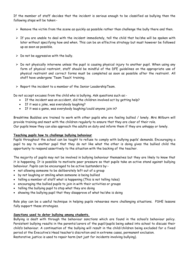If the member of staff decides that the incident is serious enough to be classified as bullying then the following steps will be taken:-

- $\triangleright$  Remove the victim from the scene as quickly as possible rather than challenge the bully there and then.
- $\triangleright$  If you are unable to deal with the incident immediately, tell the child that he/she will be spoken with later without specifying how and when. This can be an effective strategy but must however be followed up as soon as possible.
- $\triangleright$  Do not be aggressive with the bully.
- ➢ Do not physically intervene unless the pupil is causing physical injury to another pupil. When using any form of physical restraint, staff should be mindful of the DFE guidelines on the appropriate use of physical restraint and correct forms must be completed as soon as possible after the restraint. All staff have undergone 'Team Teach' training.
- ➢ Report the incident to a member of the Senior LeadershipTeam.

Do not accept excuses from the child who is bullying. Ask questions such as:-

- If the incident was an accident, did the children involved act by getting help?
- If it was a joke, was everybody laughing?
- If it was a game, was everybody laughing/could anyone join in?

Breaktime Buddies are trained to work with other pupils who are feeling bullied / lonely. Mrs Milburn will provide training and meet with the children regularly to ensure that they are clear of their role.

Our pupils know they can also approach the adults on duty and inform them if they are unhappy or lonely.

#### **Teaching pupils how to challenge bullying behaviour**

Pupils throughout the school can be taught to refuse to comply with bullying pupils' demands. Encouraging a pupil to say to another pupil that they do not like what the other is doing gives the bullied child the opportunity to respond assertively to the situation with the backing of the teacher.

The majority of pupils may not be involved in bullying behaviour themselves but they are likely to know that it is happening. It is possible to motivate peer pressure so that pupils take an active stand against bullying behaviour. Pupils can be encouraged to be active bystanders by:-

- not allowing someone to be deliberately left out of a group
- by not laughing or smiling when someone is being bullied
- telling a member of staff what is happening (This is not telling tales)
- encouraging the bullied pupils to join in with their activities or groups
- telling the bullying pupil to stop what they are doing
- showing the bullying pupil that they disapprove of what he/she is doing

Role play can be a useful technique in helping pupils rehearses more challenging situations. PSHE lessons fully support these strategies.

#### **Sanctions used to deter bullying among students.**

Bullying is dealt with through the behaviour sanctions which are found in the school's behaviour policy. Persistent bullying results in the parents/carers of the pupil/pupils being asked into school to discuss their child's behaviour. A continuation of the bullying will result in the child/children being excluded for a fixed period at the Executive's Head teacher's discretion and in extreme cases, permanent exclusion. Restorative justice is used to repair harm (not just for incidents involving bullying).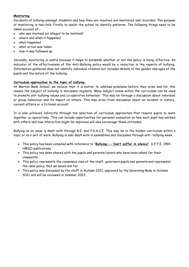#### **Monitoring**

Incidents of bullying amongst students and how they are resolved are monitored and recorded. The purpose of monitoring is two-fold. Firstly to assist the school to identify patterns. The following things need to be taken account of:-

- who was involved (or alleged to be involved)
- where and when it happened
- what happened
- what action was taken
- how it was followed up

Secondly, monitoring is useful because it helps to establish whether or not the policy is being effective. An indicator of the effectiveness of the Anti-Bullying policy would be a reduction in the reports of bullying. Information gathered does not identify individual children but includes details of the gender and ages of the pupils and the nature of the bullying.

#### **Curriculum approaches to the topic of bullying**

At Merton Bank School, we believe that it is better to address problems before they arise and for this reason the subject of bullying is discussed regularly. Many subject areas within the curriculum can be used to promote anti-bullying values and co-operative behaviour. This may be through a discussion about individual or group behaviour and its impact on others. This may arise from discussion about an incident in history, current affairs or a fictional account.

It is also achieved indirectly through the selection of curriculum approaches that require pupils to work together co-operatively. This can include opportunities for personal evaluation on how each pupil has worked with others and how interaction might be improved will also encourage these attitudes.

Bullying as an issue is dealt with through R.E. and P.S.H.C.E. This may be in the hidden curriculum within a topic or as a unit of work. Bullying is also dealt with in assemblies and discussed through anti- bullying week.

- This policy has been compiled with reference to "**Bullying:-- Don't suffer in silence"** D.F.F.E. 1994 HMSO publications.
- This policy has been shared with the pupils and parents/carers who have been asked for their viewpoints.
- This policy represents the consensus view of the staff, governors pupils and parents and represents the ideal policy that we would aim for.
- This policy was discussed by the staff in Autumn 2021, approved by the Governing Body in Autumn 2021 and will be reviewed in Summer 2022.